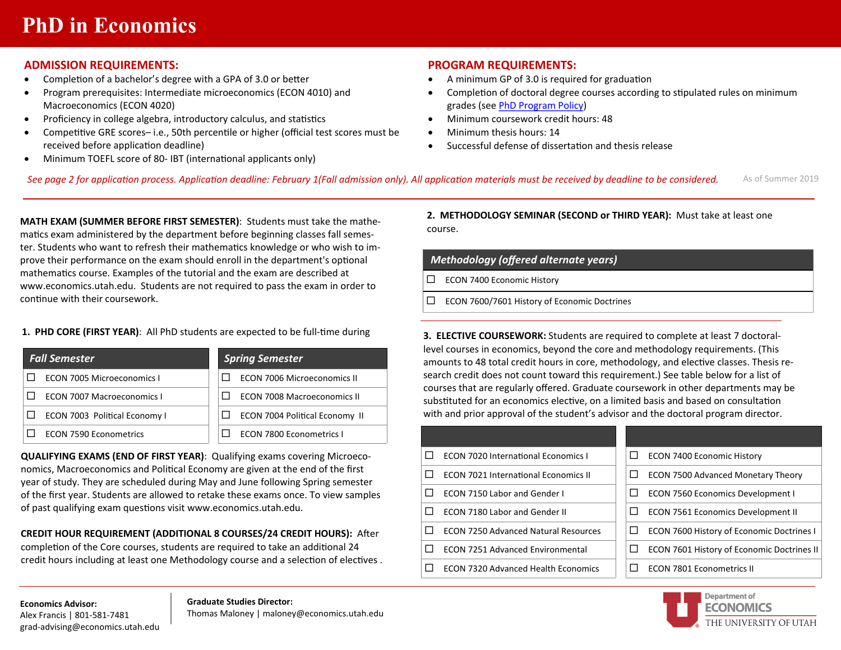# **PhD in Economics**

## **ADMISSION REQUIREMENTS:**

- Completion of a bachelor's degree with a GPA of 3.0 or better
- Program prerequisites: Intermediate microeconomics (ECON 4010) and Macroeconomics (ECON 4020)
- Proficiency in college algebra, introductory calculus, and statistics
- Competitive GRE scores– i.e., 50th percentile or higher (official test scores must be received before application deadline)
- Minimum TOEFL score of 80- IBT (international applicants only)

## **PROGRAM REQUIREMENTS:**

- A minimum GP of 3.0 is required for graduation
- Completion of doctoral degree courses according to stipulated rules on minimum grades (see [PhD Program Policy\)](https://economics.utah.edu/_documents/Economics%20Policy%20Academic%20Performance_PhD_March2018.pdf)
- Minimum coursework credit hours: 48
- Minimum thesis hours: 14
- Successful defense of dissertation and thesis release

As of Summer 2019 *See page 2 for application process. Application deadline: February 1(Fall admission only). All application materials must be received by deadline to be considered.*

**MATH EXAM (SUMMER BEFORE FIRST SEMESTER)**: Students must take the mathematics exam administered by the department before beginning classes fall semester. Students who want to refresh their mathematics knowledge or who wish to improve their performance on the exam should enroll in the department's optional mathematics course. Examples of the tutorial and the exam are described at www.economics.utah.edu. Students are not required to pass the exam in order to continue with their coursework.

## **1. PHD CORE (FIRST YEAR)**: All PhD students are expected to be full-time during

| <b>Fall Semester</b>          | <b>Spring Semester</b>                |  |
|-------------------------------|---------------------------------------|--|
| ECON 7005 Microeconomics L    | <b>ECON 7006 Microeconomics II</b>    |  |
| ECON 7007 Macroeconomics I    | <b>ECON 7008 Macroeconomics II</b>    |  |
| ECON 7003 Political Economy I | <b>ECON 7004 Political Economy II</b> |  |
| <b>ECON 7590 Econometrics</b> | <b>ECON 7800 Econometrics I</b>       |  |

**QUALIFYING EXAMS (END OF FIRST YEAR)**: Qualifying exams covering Microeconomics, Macroeconomics and Political Economy are given at the end of the first year of study. They are scheduled during May and June following Spring semester of the first year. Students are allowed to retake these exams once. To view samples of past qualifying exam questions visit www.economics.utah.edu.

**CREDIT HOUR REQUIREMENT (ADDITIONAL 8 COURSES/24 CREDIT HOURS):** After completion of the Core courses, students are required to take an additional 24 credit hours including at least one Methodology course and a selection of electives . **2. METHODOLOGY SEMINAR (SECOND or THIRD YEAR):** Must take at least one course.

## *Methodology (offered alternate years)*

ECON 7400 Economic History

ECON 7600/7601 History of Economic Doctrines

**3. ELECTIVE COURSEWORK:** Students are required to complete at least 7 doctorallevel courses in economics, beyond the core and methodology requirements. (This amounts to 48 total credit hours in core, methodology, and elective classes. Thesis research credit does not count toward this requirement.) See table below for a list of courses that are regularly offered. Graduate coursework in other departments may be substituted for an economics elective, on a limited basis and based on consultation with and prior approval of the student's advisor and the doctoral program director.

| П.                                              | $\Box$                                            |
|-------------------------------------------------|---------------------------------------------------|
| <b>ECON 7020 International Economics I</b>      | <b>ECON 7400 Economic History</b>                 |
| П.                                              | □                                                 |
| <b>ECON 7021 International Economics II</b>     | <b>ECON 7500 Advanced Monetary Theory</b>         |
| П.                                              | <b>ECON 7560 Economics Development I</b>          |
| <b>ECON 7150 Labor and Gender I</b>             | $\Box$                                            |
| П.                                              | <b>ECON 7561 Economics Development II</b>         |
| <b>ECON 7180 Labor and Gender II</b>            | $\Box$                                            |
| П.                                              | ECON 7600 History of Economic Doctrines I         |
| <b>ECON 7250 Advanced Natural Resources</b>     | $\Box$                                            |
| п                                               | $\Box$                                            |
| <b>ECON 7251 Advanced Environmental</b>         | <b>ECON 7601 History of Economic Doctrines II</b> |
| п<br><b>ECON 7320 Advanced Health Economics</b> | <b>ECON 7801 Econometrics II</b>                  |



**Economics Advisor:**  Alex Francis | 801-581-7481 grad-advising@economics.utah.edu

#### **Graduate Studies Director:**

Thomas Maloney | maloney@economics.utah.edu